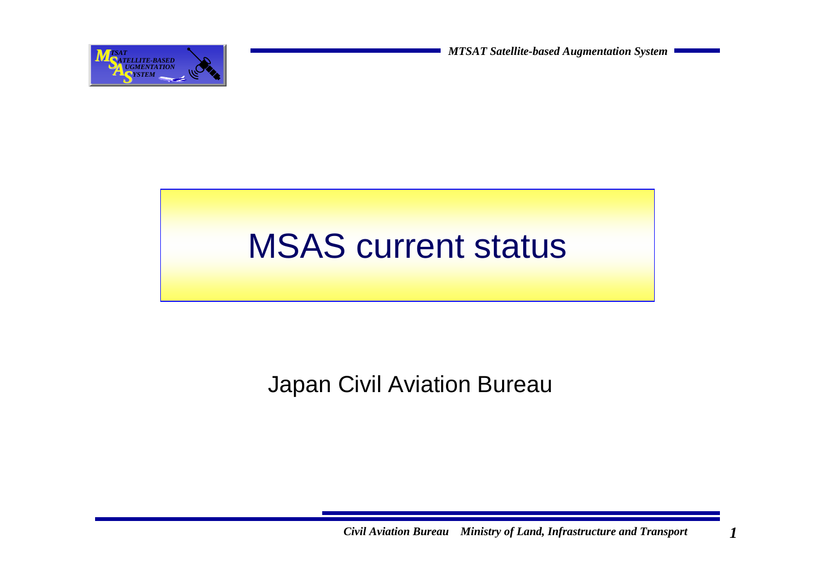**MTSAT** *MTSAT Satellite-based Augmentation System* 

### MSAS current status

#### Japan Civil Aviation Bureau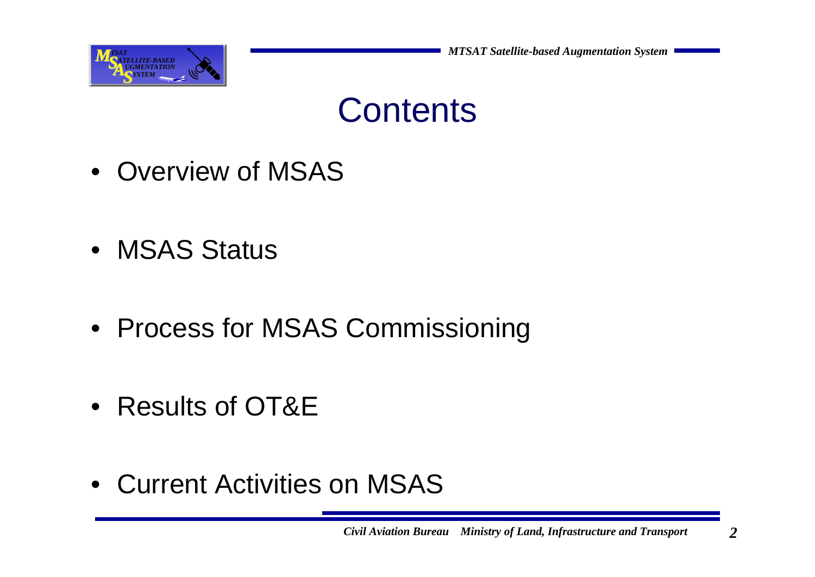



- Overview of MSAS
- MSAS Status
- Process for MSAS Commissioning
- Results of OT&E
- Current Activities on MSAS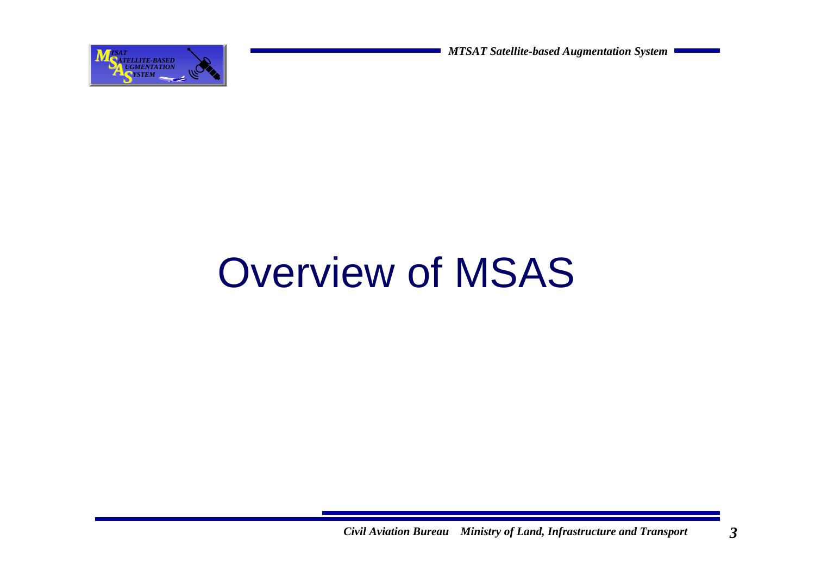**AUGMENTATION AND <b>ALGO AUGMENTATION AUGMENTATION AUGMENTATION BECOME AUGMENTATION BECOME AUGMENTATION** 

# Overview of MSAS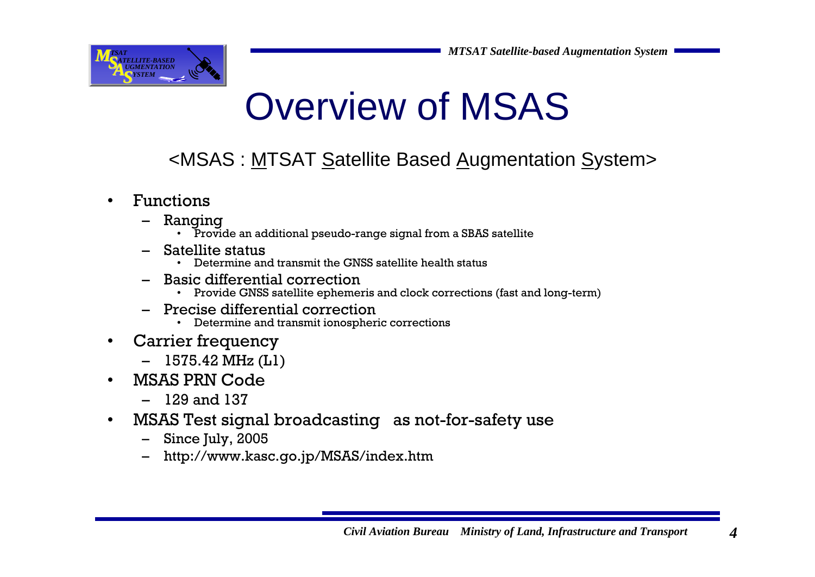

## Overview of MSAS

#### <MSAS : MTSAT Satellite Based Augmentation System>

- • Functions
	- Ranging
		- Provide an additional pseudo-range signal from a SBAS satellite
	- Satellite status
		- Determine and transmit the GNSS satellite health status
	- Basic differential correction
		- Provide GNSS satellite ephemeris and clock corrections (fast and long-term)
	- Precise differential correction
		- Determine and transmit ionospheric corrections
- • Carrier frequency
	- 1575.42 MHz (L1)
- • MSAS PRN Code
	- 129 and 137
- • MSAS Test signal broadcasting as not-for-safety use
	- Since July, 2005
	- http://www.kasc.go.jp/MSAS/index.htm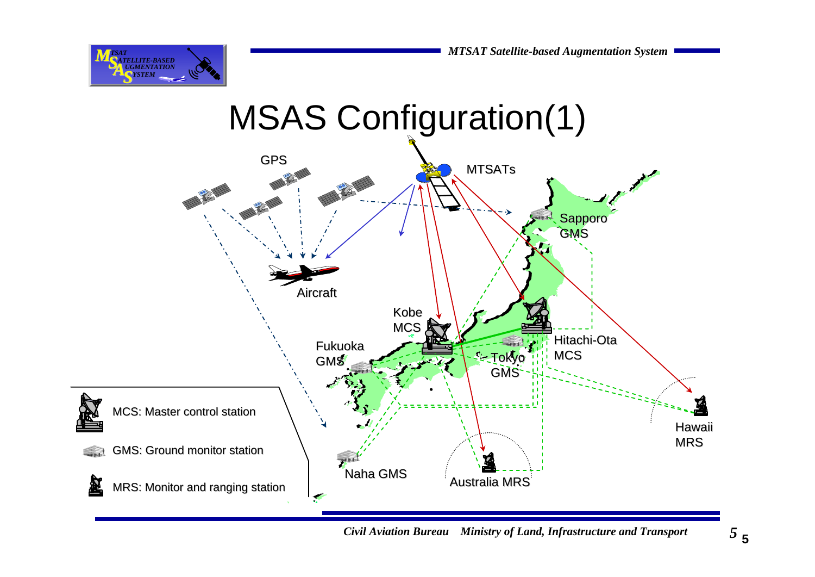



*Civil Aviation Bureau Ministry of Land, Infrastructure and Transport 5*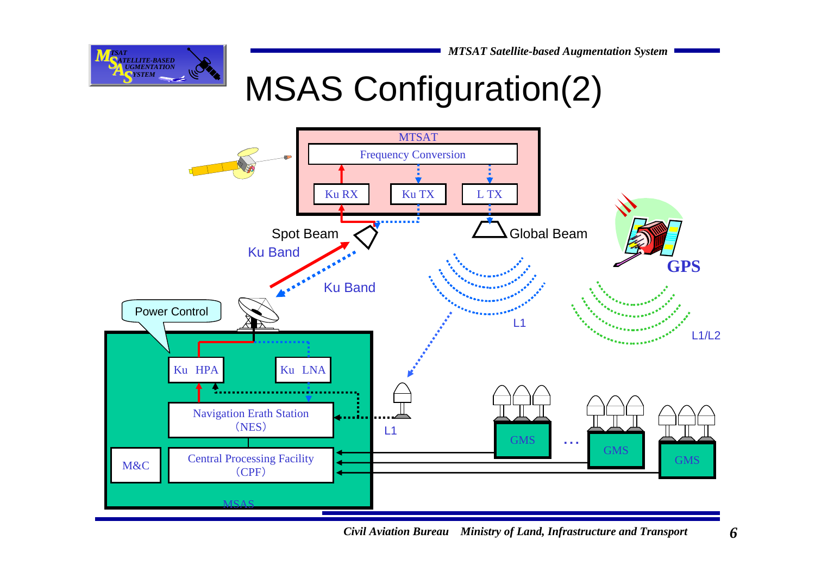

### MSAS Configuration(2)



6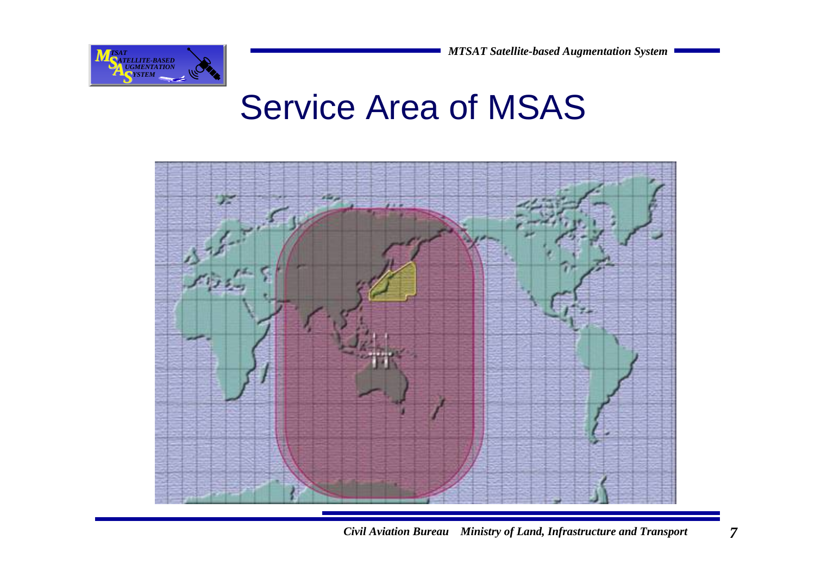

#### Service Area of MSAS



*Civil Aviation Bureau Ministry of Land, Infrastructure and Transport 7*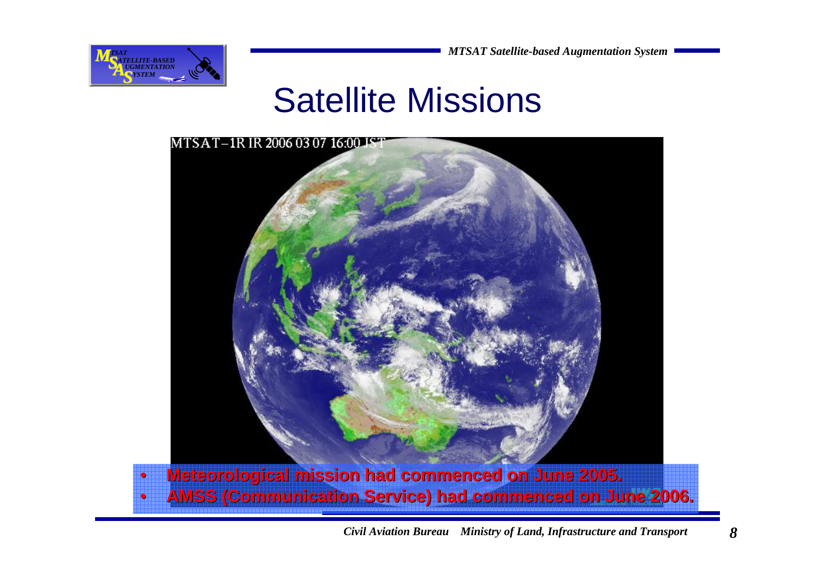#### Satellite Missions

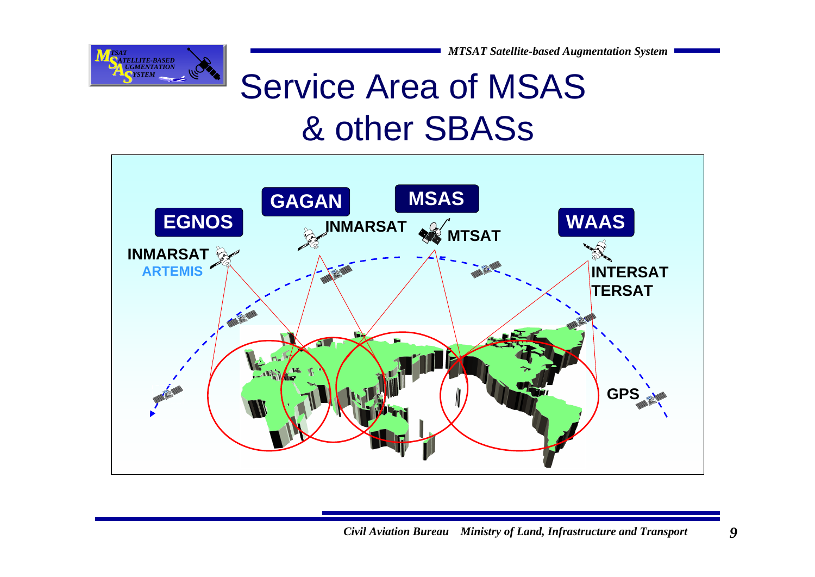

## Service Area of MSAS& other SBASs

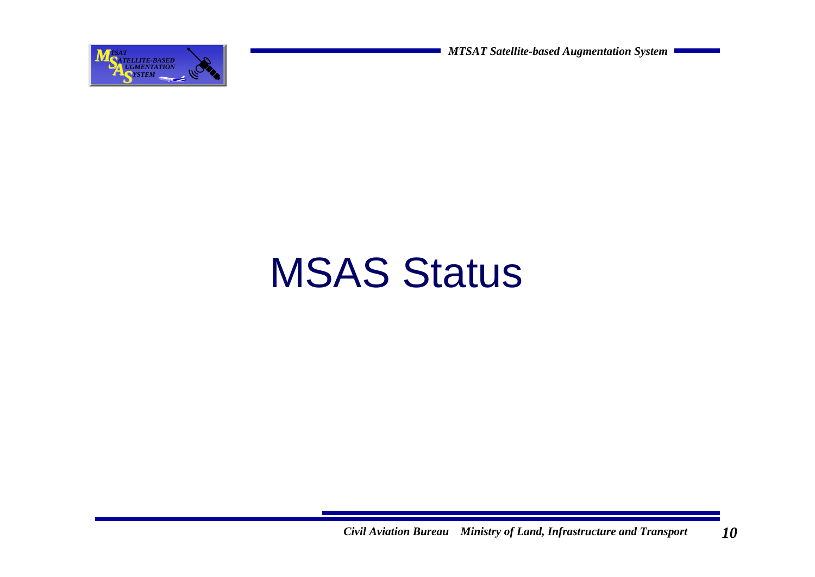

# MSAS Status

*Civil Aviation Bureau Ministry of Land, Infrastructure and Transport 10*10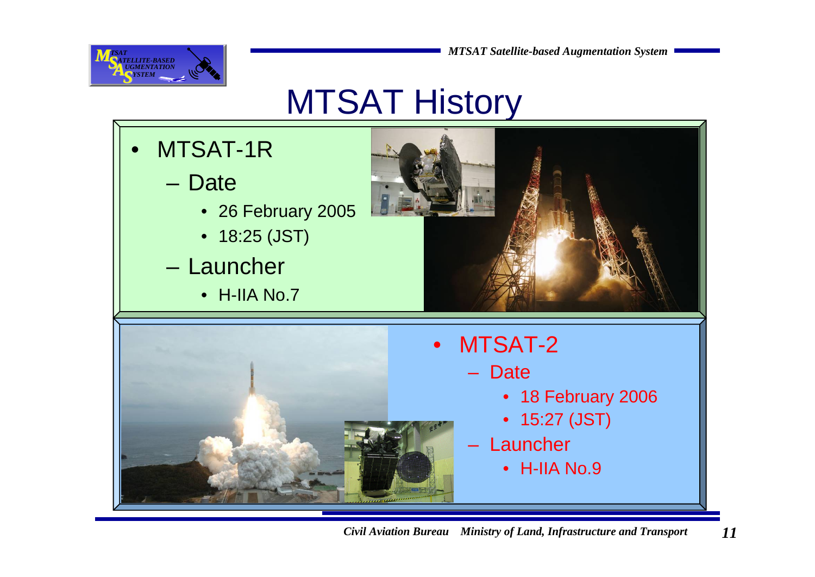

## MTSAT History

- $\bullet$  MTSAT-1R
	- Date
		- 26 February 2005
		- 18:25 (JST)
	- Launcher
		- H-IIA No.7



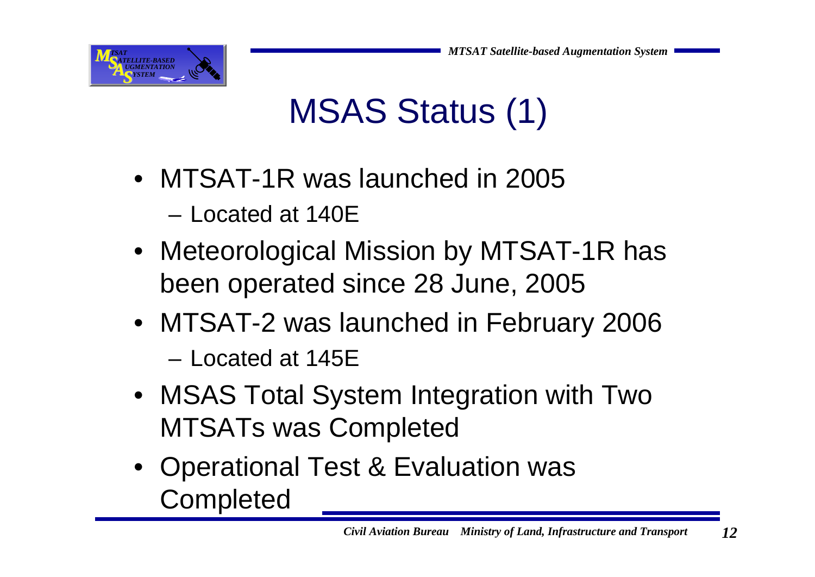

## MSAS Status (1)

- MTSAT-1R was launched in 2005
	- Located at 140E
- Meteorological Mission by MTSAT-1R has been operated since 28 June, 2005
- MTSAT-2 was launched in February 2006 – Located at 145E
- MSAS Total System Integration with Two MTSATs was Completed
- Operational Test & Evaluation was **Completed**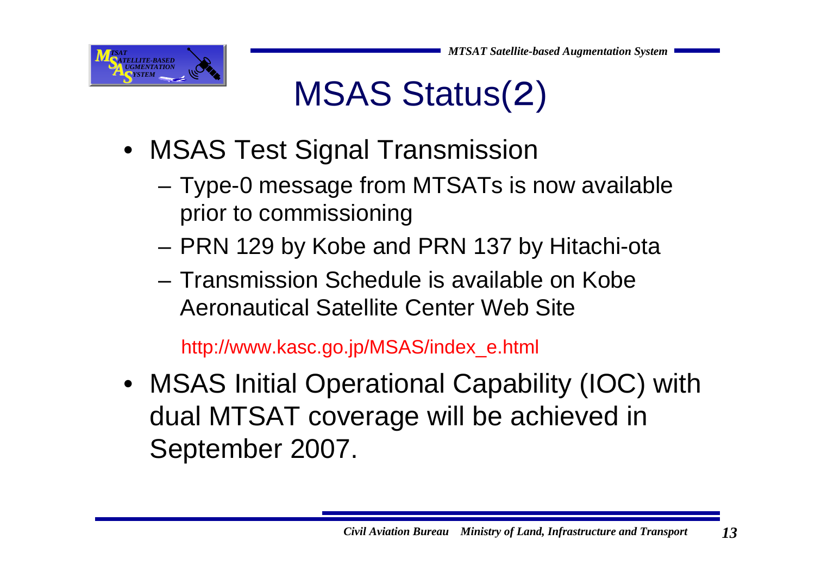

## MSAS Status(2)

- MSAS Test Signal Transmission
	- – Type-0 message from MTSATs is now available prior to commissioning
	- –PRN 129 by Kobe and PRN 137 by Hitachi-ota
	- Transmission Schedule is available on Kobe Aeronautical Satellite Center Web Site

http://www.kasc.go.jp/MSAS/index\_e.html

• MSAS Initial Operational Capability (IOC) with dual MTSAT coverage will be achieved in September 2007.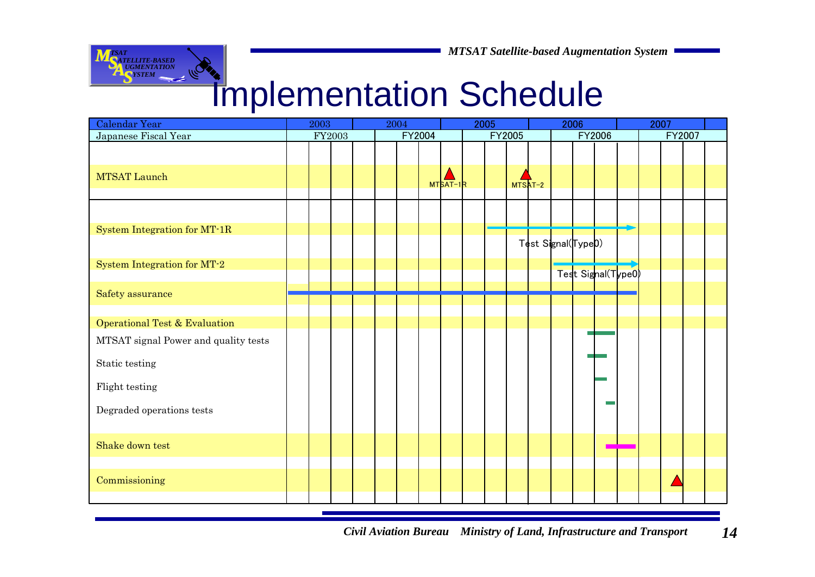

#### Implementation Schedule

| Calendar Year                        | 2003 |  | 2004   |  |  | 2005 |        |            | 2006 |               |  |                                | 2007 |  |                    |  |  |        |  |  |
|--------------------------------------|------|--|--------|--|--|------|--------|------------|------|---------------|--|--------------------------------|------|--|--------------------|--|--|--------|--|--|
| Japanese Fiscal Year                 |      |  | FY2003 |  |  |      | FY2004 |            |      | <b>FY2005</b> |  |                                |      |  | FY2006             |  |  | FY2007 |  |  |
|                                      |      |  |        |  |  |      |        |            |      |               |  |                                |      |  |                    |  |  |        |  |  |
| MTSAT Launch                         |      |  |        |  |  |      |        | $MTSAT-1R$ |      |               |  | MTSAT-2                        |      |  |                    |  |  |        |  |  |
|                                      |      |  |        |  |  |      |        |            |      |               |  |                                |      |  |                    |  |  |        |  |  |
|                                      |      |  |        |  |  |      |        |            |      |               |  |                                |      |  |                    |  |  |        |  |  |
| System Integration for MT-1R         |      |  |        |  |  |      |        |            |      |               |  |                                |      |  |                    |  |  |        |  |  |
|                                      |      |  |        |  |  |      |        |            |      |               |  | Test Signal(Type <sup>D)</sup> |      |  |                    |  |  |        |  |  |
| System Integration for MT-2          |      |  |        |  |  |      |        |            |      |               |  |                                |      |  |                    |  |  |        |  |  |
|                                      |      |  |        |  |  |      |        |            |      |               |  |                                |      |  | Test Signal(Type0) |  |  |        |  |  |
| Safety assurance                     |      |  |        |  |  |      |        |            |      |               |  |                                |      |  |                    |  |  |        |  |  |
|                                      |      |  |        |  |  |      |        |            |      |               |  |                                |      |  |                    |  |  |        |  |  |
| Operational Test & Evaluation        |      |  |        |  |  |      |        |            |      |               |  |                                |      |  |                    |  |  |        |  |  |
| MTSAT signal Power and quality tests |      |  |        |  |  |      |        |            |      |               |  |                                |      |  |                    |  |  |        |  |  |
| Static testing                       |      |  |        |  |  |      |        |            |      |               |  |                                |      |  |                    |  |  |        |  |  |
| Flight testing                       |      |  |        |  |  |      |        |            |      |               |  |                                |      |  |                    |  |  |        |  |  |
| Degraded operations tests            |      |  |        |  |  |      |        |            |      |               |  |                                |      |  |                    |  |  |        |  |  |
| Shake down test                      |      |  |        |  |  |      |        |            |      |               |  |                                |      |  |                    |  |  |        |  |  |
|                                      |      |  |        |  |  |      |        |            |      |               |  |                                |      |  |                    |  |  |        |  |  |
| Commissioning                        |      |  |        |  |  |      |        |            |      |               |  |                                |      |  |                    |  |  |        |  |  |
|                                      |      |  |        |  |  |      |        |            |      |               |  |                                |      |  |                    |  |  |        |  |  |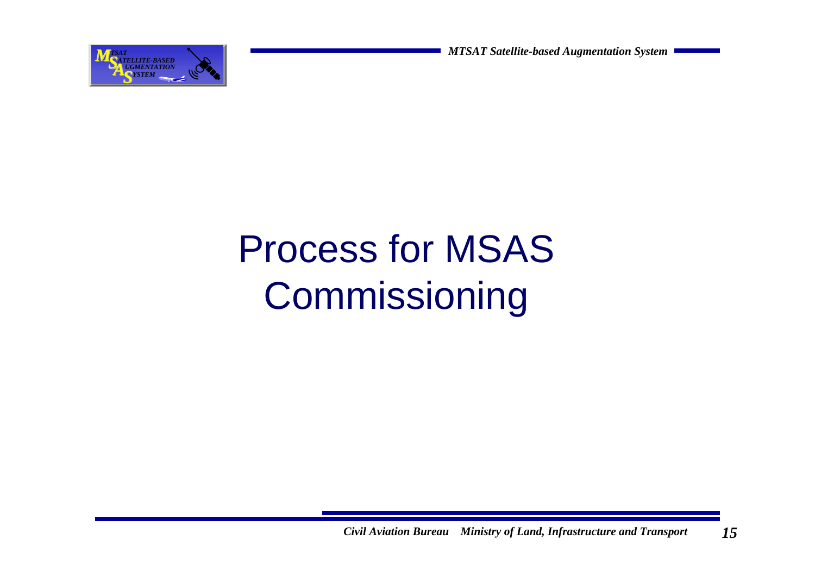

# Process for MSAS Commissioning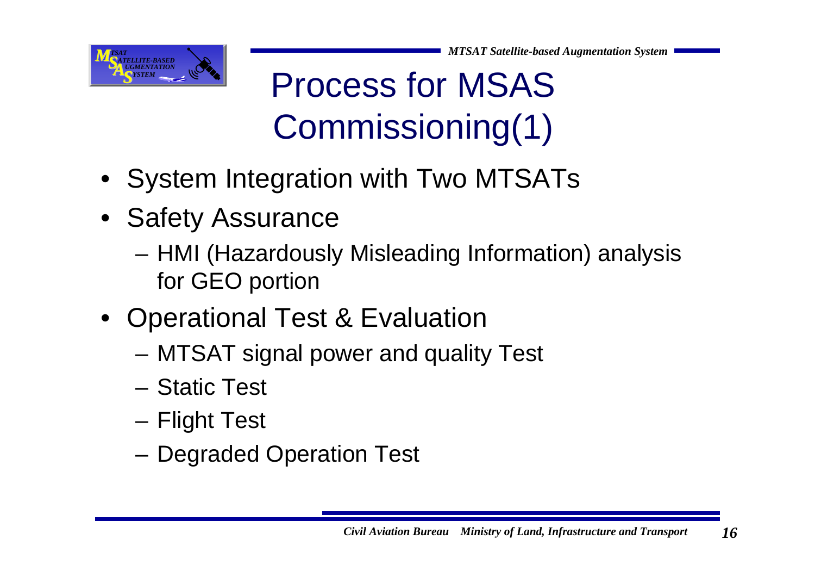

Process for MSAS Commissioning(1)

- System Integration with Two MTSATs
- Safety Assurance
	- HMI (Hazardously Misleading Information) analysis for GEO portion
- Operational Test & Evaluation
	- MTSAT signal power and quality Test
	- Static Test
	- Flight Test
	- Degraded Operation Test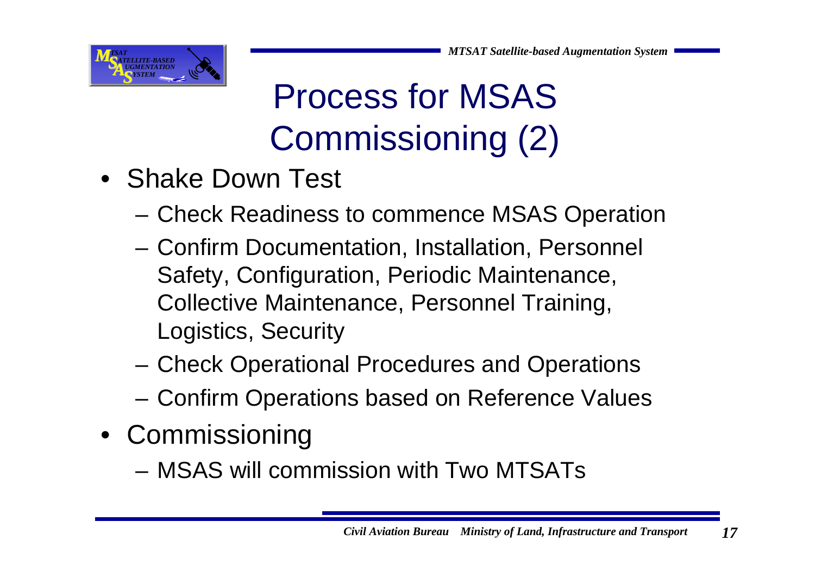

## Process for MSAS Commissioning (2)

- Shake Down Test
	- –Check Readiness to commence MSAS Operation
	- Confirm Documentation, Installation, Personnel Safety, Configuration, Periodic Maintenance, Collective Maintenance, Personnel Training, Logistics, Security
	- Check Operational Procedures and Operations
	- Confirm Operations based on Reference Values
- Commissioning
	- MSAS will commission with Two MTSATs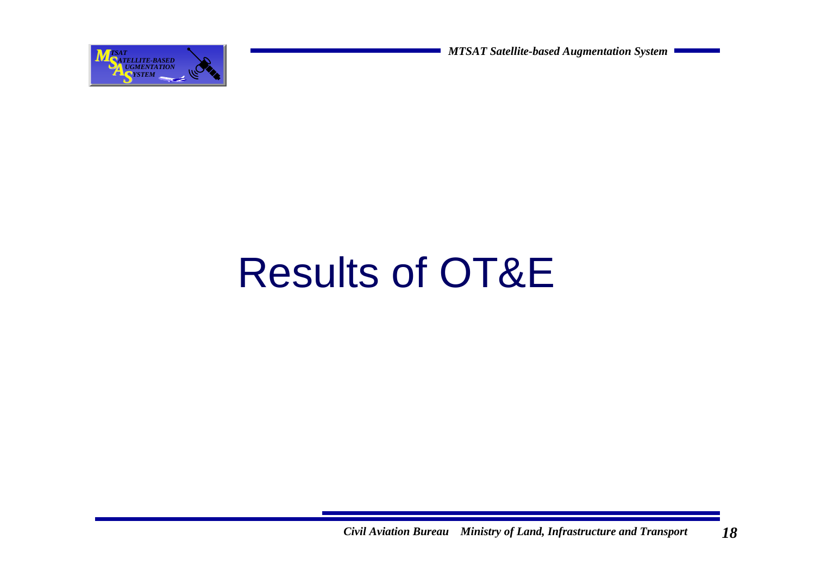

# Results of OT&E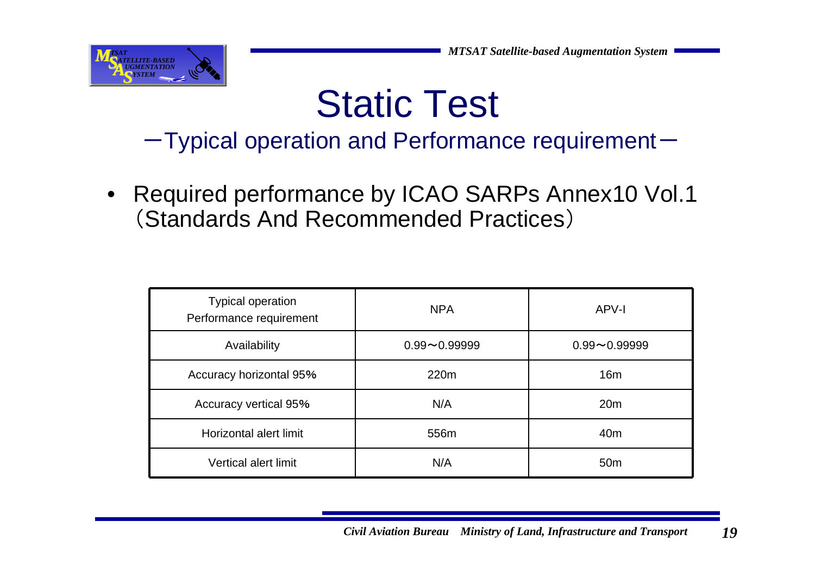

## Static Test

 $-T$ ypical operation and Performance requirement $-$ 

• Required performance by ICAO SARPs Annex10 Vol.1 (Standards And Recommended Practices)

| <b>Typical operation</b><br>Performance requirement | <b>NPA</b>       | APV-I            |  |  |  |  |
|-----------------------------------------------------|------------------|------------------|--|--|--|--|
| Availability                                        | $0.99 - 0.99999$ | $0.99 - 0.99999$ |  |  |  |  |
| Accuracy horizontal 95%                             | 220m             | 16 <sub>m</sub>  |  |  |  |  |
| <b>Accuracy vertical 95%</b>                        | N/A              | 20 <sub>m</sub>  |  |  |  |  |
| Horizontal alert limit                              | 556m             | 40 <sub>m</sub>  |  |  |  |  |
| <b>Vertical alert limit</b>                         | N/A              | 50 <sub>m</sub>  |  |  |  |  |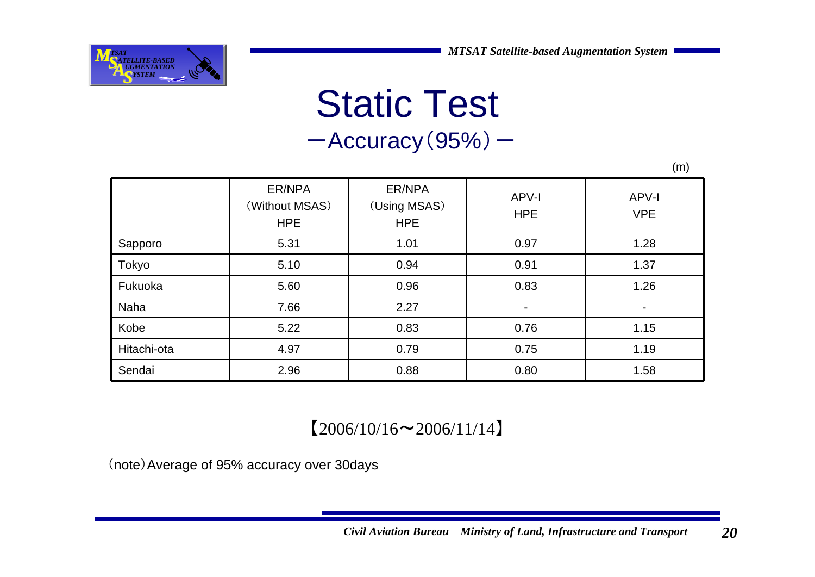(m)



#### Static Test  $-$ Accuracy $(95%)$  –

ER/NPA(Without MSAS) **HPE** ER/NPA(Using MSAS) **HPE** APV-I **HPE** APV-IVPESapporo 5.31 1.01 0.97 1.28 Tokyo 5.10 0.94 0.91 1.37 Fukuoka 5.60 0.96 0.83 1.26Naha 7.66 2.27 - -Kobe 5.22 0.83 0.76 1.15Hitachi-ota 1 4.97 0.79 0.75 1.19 Sendai 2.96 0.88 0.80 1.58

#### $[2006/10/16 \sim 2006/11/14]$

(note)Average of 95% accuracy over 30days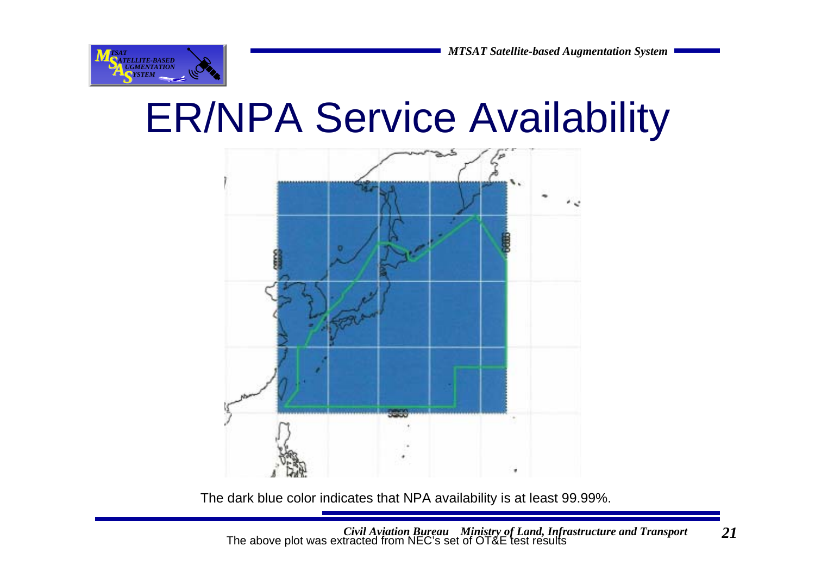

## ER/NPA Service Availability



The dark blue color indicates that NPA availability is at least 99.99%.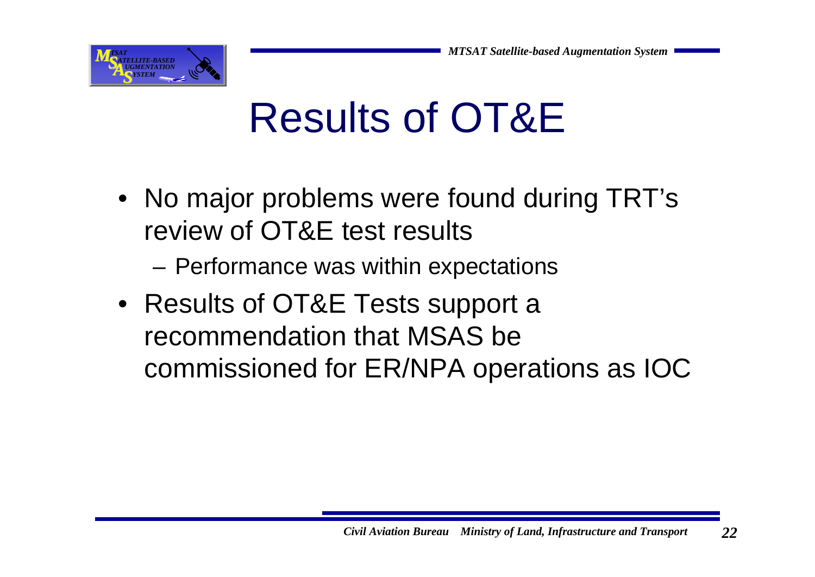

# Results of OT&E

- No major problems were found during TRT's review of OT&E test results
	- –Performance was within expectations
- Results of OT&E Tests support a recommendation that MSAS be commissioned for ER/NPA operations as IOC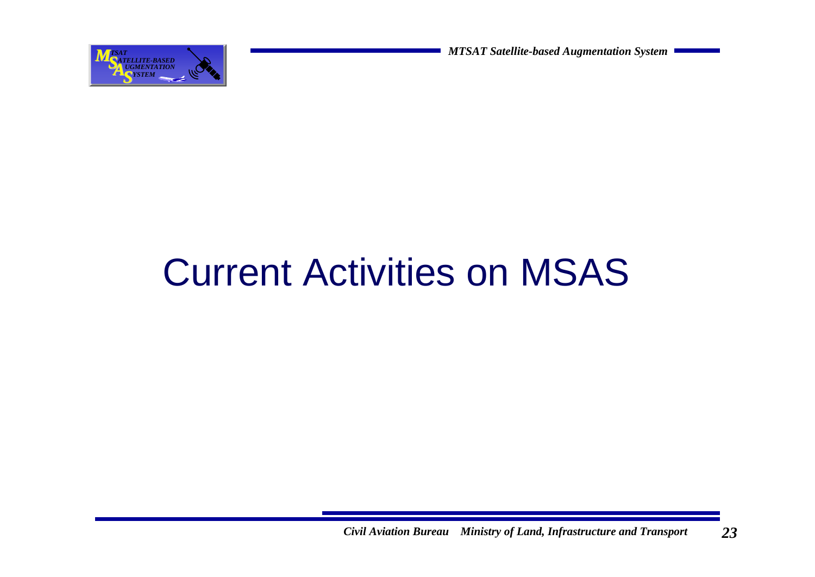

## Current Activities on MSAS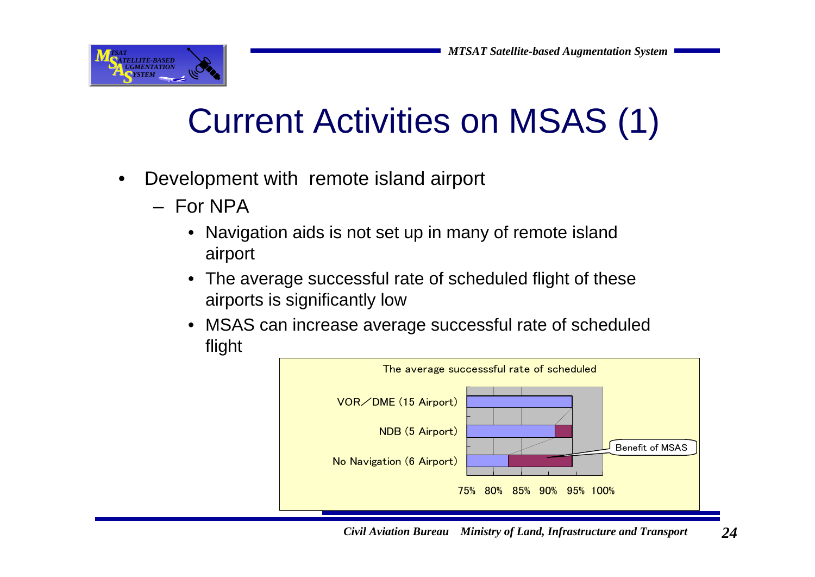

## Current Activities on MSAS (1)

- • Development with remote island airport
	- For NPA
		- Navigation aids is not set up in many of remote island airport
		- The average successful rate of scheduled flight of these airports is significantly low
		- MSAS can increase average successful rate of scheduled flight

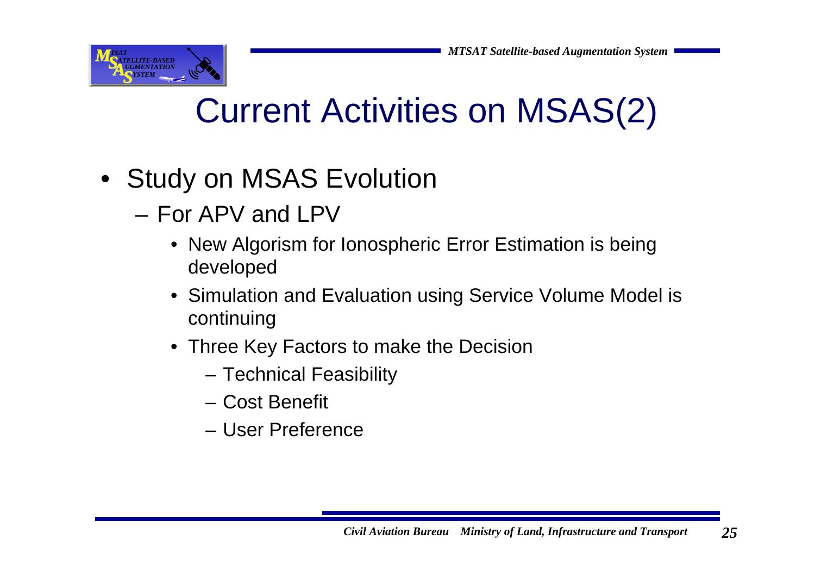

## Current Activities on MSAS(2)

- Study on MSAS Evolution
	- For APV and LPV
		- New Algorism for Ionospheric Error Estimation is being developed
		- Simulation and Evaluation using Service Volume Model is continuing
		- Three Key Factors to make the Decision
			- Technical Feasibility
			- Cost Benefit
			- User Preference